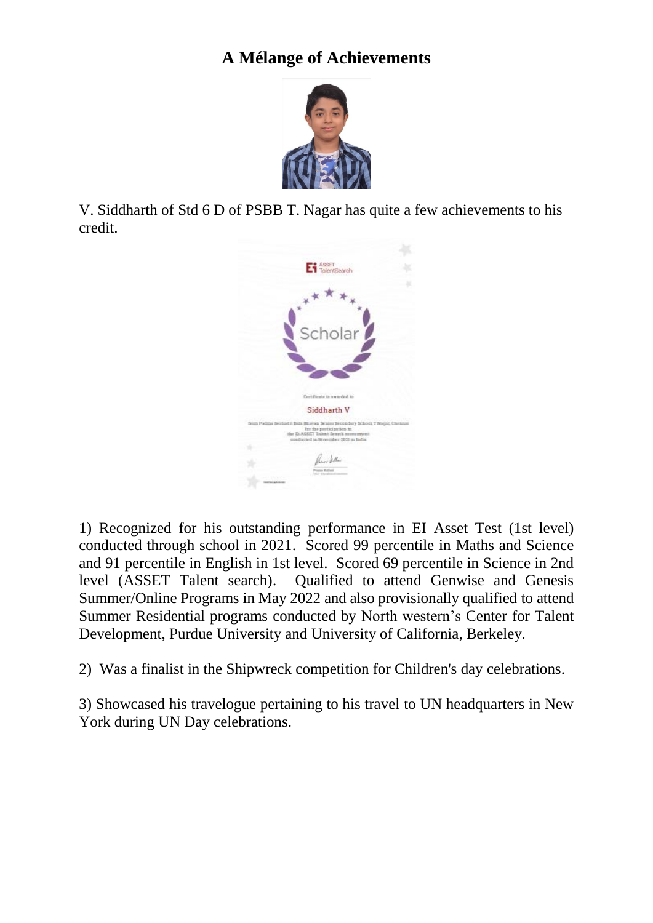## **A Mélange of Achievements**



V. Siddharth of Std 6 D of PSBB T. Nagar has quite a few achievements to his credit.



1) Recognized for his outstanding performance in EI Asset Test (1st level) conducted through school in 2021. Scored 99 percentile in Maths and Science and 91 percentile in English in 1st level. Scored 69 percentile in Science in 2nd level (ASSET Talent search). Qualified to attend Genwise and Genesis Summer/Online Programs in May 2022 and also provisionally qualified to attend Summer Residential programs conducted by North western's Center for Talent Development, Purdue University and University of California, Berkeley.

2) Was a finalist in the Shipwreck competition for Children's day celebrations.

3) Showcased his travelogue pertaining to his travel to UN headquarters in New York during UN Day celebrations.